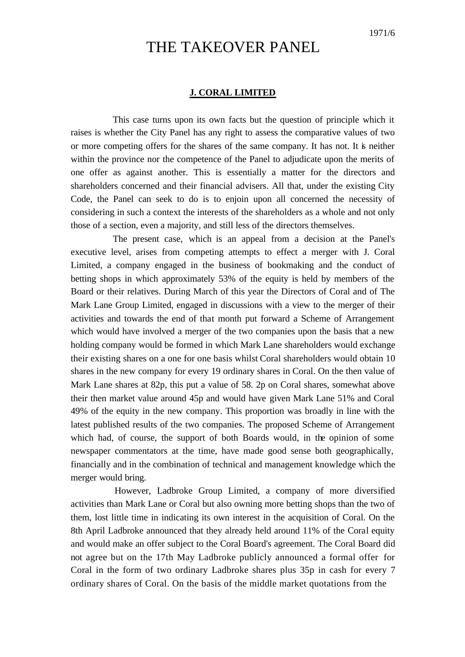# THE TAKEOVER PANEL

## **J. CORAL LIMITED**

This case turns upon its own facts but the question of principle which it raises is whether the City Panel has any right to assess the comparative values of two or more competing offers for the shares of the same company. It has not. It is neither within the province nor the competence of the Panel to adjudicate upon the merits of one offer as against another. This is essentially a matter for the directors and shareholders concerned and their financial advisers. All that, under the existing City Code, the Panel can seek to do is to enjoin upon all concerned the necessity of considering in such a context the interests of the shareholders as a whole and not only those of a section, even a majority, and still less of the directors themselves.

The present case, which is an appeal from a decision at the Panel's executive level, arises from competing attempts to effect a merger with J. Coral Limited, a company engaged in the business of bookmaking and the conduct of betting shops in which approximately 53% of the equity is held by members of the Board or their relatives. During March of this year the Directors of Coral and of The Mark Lane Group Limited, engaged in discussions with a view to the merger of their activities and towards the end of that month put forward a Scheme of Arrangement which would have involved a merger of the two companies upon the basis that a new holding company would be formed in which Mark Lane shareholders would exchange their existing shares on a one for one basis whilst Coral shareholders would obtain 10 shares in the new company for every 19 ordinary shares in Coral. On the then value of Mark Lane shares at 82p, this put a value of 58. 2p on Coral shares, somewhat above their then market value around 45p and would have given Mark Lane 51% and Coral 49% of the equity in the new company. This proportion was broadly in line with the latest published results of the two companies. The proposed Scheme of Arrangement which had, of course, the support of both Boards would, in the opinion of some newspaper commentators at the time, have made good sense both geographically, financially and in the combination of technical and management knowledge which the merger would bring.

However, Ladbroke Group Limited, a company of more diversified activities than Mark Lane or Coral but also owning more betting shops than the two of them, lost little time in indicating its own interest in the acquisition of Coral. On the 8th April Ladbroke announced that they already held around 11% of the Coral equity and would make an offer subject to the Coral Board's agreement. The Coral Board did not agree but on the 17th May Ladbroke publicly announced a formal offer for Coral in the form of two ordinary Ladbroke shares plus 35p in cash for every 7 ordinary shares of Coral. On the basis of the middle market quotations from the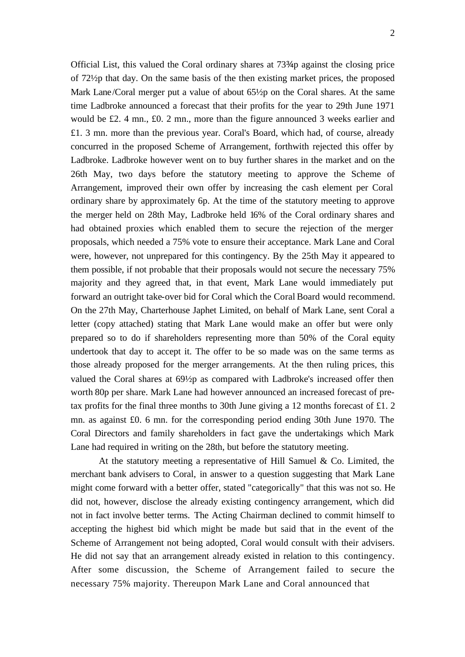Official List, this valued the Coral ordinary shares at 73¾p against the closing price of 72½p that day. On the same basis of the then existing market prices, the proposed Mark Lane/Coral merger put a value of about 65½p on the Coral shares. At the same time Ladbroke announced a forecast that their profits for the year to 29th June 1971 would be £2. 4 mn., £0. 2 mn., more than the figure announced 3 weeks earlier and £1. 3 mn. more than the previous year. Coral's Board, which had, of course, already concurred in the proposed Scheme of Arrangement, forthwith rejected this offer by Ladbroke. Ladbroke however went on to buy further shares in the market and on the 26th May, two days before the statutory meeting to approve the Scheme of Arrangement, improved their own offer by increasing the cash element per Coral ordinary share by approximately 6p. At the time of the statutory meeting to approve the merger held on 28th May, Ladbroke held 16% of the Coral ordinary shares and had obtained proxies which enabled them to secure the rejection of the merger proposals, which needed a 75% vote to ensure their acceptance. Mark Lane and Coral were, however, not unprepared for this contingency. By the 25th May it appeared to them possible, if not probable that their proposals would not secure the necessary 75% majority and they agreed that, in that event, Mark Lane would immediately put forward an outright take-over bid for Coral which the Coral Board would recommend. On the 27th May, Charterhouse Japhet Limited, on behalf of Mark Lane, sent Coral a letter (copy attached) stating that Mark Lane would make an offer but were only prepared so to do if shareholders representing more than 50% of the Coral equity undertook that day to accept it. The offer to be so made was on the same terms as those already proposed for the merger arrangements. At the then ruling prices, this valued the Coral shares at 69½p as compared with Ladbroke's increased offer then worth 80p per share. Mark Lane had however announced an increased forecast of pretax profits for the final three months to 30th June giving a 12 months forecast of £1. 2 mn. as against £0. 6 mn. for the corresponding period ending 30th June 1970. The Coral Directors and family shareholders in fact gave the undertakings which Mark Lane had required in writing on the 28th, but before the statutory meeting.

At the statutory meeting a representative of Hill Samuel  $\&$  Co. Limited, the merchant bank advisers to Coral, in answer to a question suggesting that Mark Lane might come forward with a better offer, stated "categorically" that this was not so. He did not, however, disclose the already existing contingency arrangement, which did not in fact involve better terms. The Acting Chairman declined to commit himself to accepting the highest bid which might be made but said that in the event of the Scheme of Arrangement not being adopted, Coral would consult with their advisers. He did not say that an arrangement already existed in relation to this contingency. After some discussion, the Scheme of Arrangement failed to secure the necessary 75% majority. Thereupon Mark Lane and Coral announced that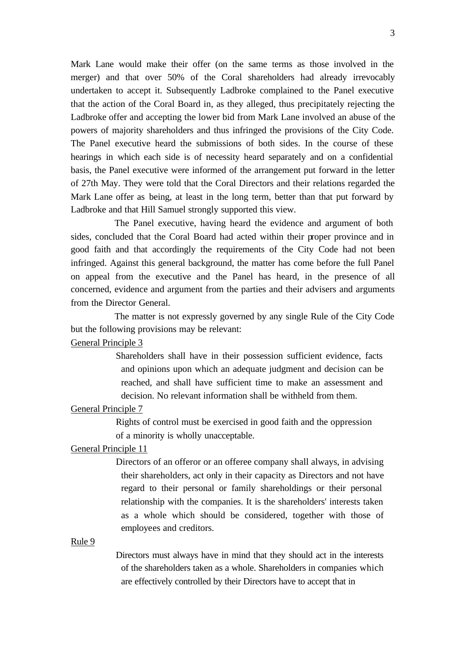Mark Lane would make their offer (on the same terms as those involved in the merger) and that over 50% of the Coral shareholders had already irrevocably undertaken to accept it. Subsequently Ladbroke complained to the Panel executive that the action of the Coral Board in, as they alleged, thus precipitately rejecting the Ladbroke offer and accepting the lower bid from Mark Lane involved an abuse of the powers of majority shareholders and thus infringed the provisions of the City Code. The Panel executive heard the submissions of both sides. In the course of these hearings in which each side is of necessity heard separately and on a confidential basis, the Panel executive were informed of the arrangement put forward in the letter of 27th May. They were told that the Coral Directors and their relations regarded the Mark Lane offer as being, at least in the long term, better than that put forward by Ladbroke and that Hill Samuel strongly supported this view.

The Panel executive, having heard the evidence and argument of both sides, concluded that the Coral Board had acted within their proper province and in good faith and that accordingly the requirements of the City Code had not been infringed. Against this general background, the matter has come before the full Panel on appeal from the executive and the Panel has heard, in the presence of all concerned, evidence and argument from the parties and their advisers and arguments from the Director General.

The matter is not expressly governed by any single Rule of the City Code but the following provisions may be relevant:

## General Principle 3

Shareholders shall have in their possession sufficient evidence, facts and opinions upon which an adequate judgment and decision can be reached, and shall have sufficient time to make an assessment and decision. No relevant information shall be withheld from them.

## General Principle 7

Rights of control must be exercised in good faith and the oppression of a minority is wholly unacceptable.

## General Principle 11

Directors of an offeror or an offeree company shall always, in advising their shareholders, act only in their capacity as Directors and not have regard to their personal or family shareholdings or their personal relationship with the companies. It is the shareholders' interests taken as a whole which should be considered, together with those of employees and creditors.

#### Rule 9

Directors must always have in mind that they should act in the interests of the shareholders taken as a whole. Shareholders in companies which are effectively controlled by their Directors have to accept that in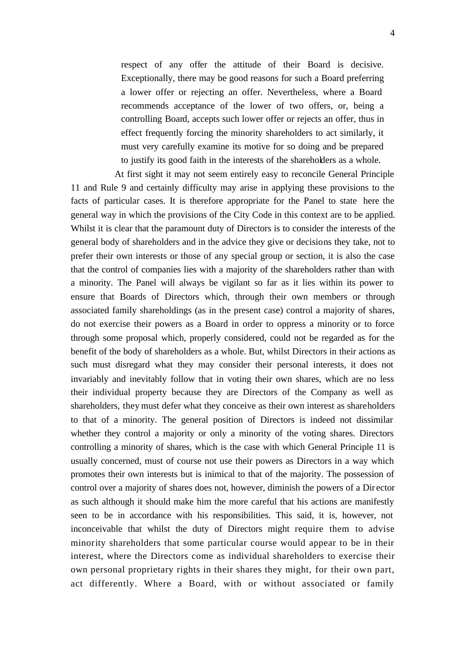respect of any offer the attitude of their Board is decisive. Exceptionally, there may be good reasons for such a Board preferring a lower offer or rejecting an offer. Nevertheless, where a Board recommends acceptance of the lower of two offers, or, being a controlling Board, accepts such lower offer or rejects an offer, thus in effect frequently forcing the minority shareholders to act similarly, it must very carefully examine its motive for so doing and be prepared to justify its good faith in the interests of the shareholders as a whole.

At first sight it may not seem entirely easy to reconcile General Principle 11 and Rule 9 and certainly difficulty may arise in applying these provisions to the facts of particular cases. It is therefore appropriate for the Panel to state here the general way in which the provisions of the City Code in this context are to be applied. Whilst it is clear that the paramount duty of Directors is to consider the interests of the general body of shareholders and in the advice they give or decisions they take, not to prefer their own interests or those of any special group or section, it is also the case that the control of companies lies with a majority of the shareholders rather than with a minority. The Panel will always be vigilant so far as it lies within its power to ensure that Boards of Directors which, through their own members or through associated family shareholdings (as in the present case) control a majority of shares, do not exercise their powers as a Board in order to oppress a minority or to force through some proposal which, properly considered, could not be regarded as for the benefit of the body of shareholders as a whole. But, whilst Directors in their actions as such must disregard what they may consider their personal interests, it does not invariably and inevitably follow that in voting their own shares, which are no less their individual property because they are Directors of the Company as well as shareholders, they must defer what they conceive as their own interest as shareholders to that of a minority. The general position of Directors is indeed not dissimilar whether they control a majority or only a minority of the voting shares. Directors controlling a minority of shares, which is the case with which General Principle 11 is usually concerned, must of course not use their powers as Directors in a way which promotes their own interests but is inimical to that of the majority. The possession of control over a majority of shares does not, however, diminish the powers of a Dir ector as such although it should make him the more careful that his actions are manifestly seen to be in accordance with his responsibilities. This said, it is, however, not inconceivable that whilst the duty of Directors might require them to advise minority shareholders that some particular course would appear to be in their interest, where the Directors come as individual shareholders to exercise their own personal proprietary rights in their shares they might, for their own part, act differently. Where a Board, with or without associated or family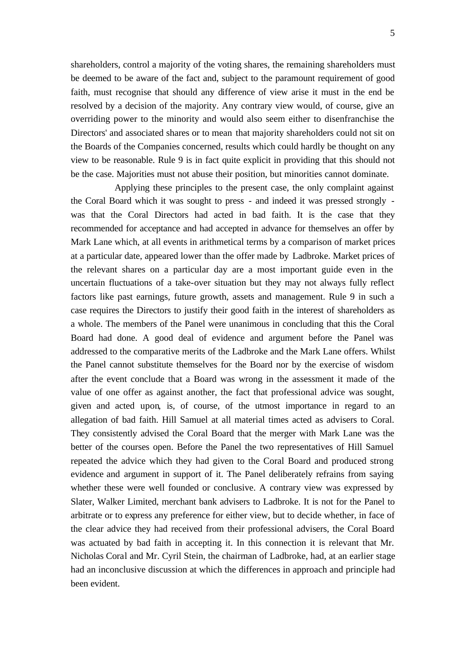shareholders, control a majority of the voting shares, the remaining shareholders must be deemed to be aware of the fact and, subject to the paramount requirement of good faith, must recognise that should any difference of view arise it must in the end be resolved by a decision of the majority. Any contrary view would, of course, give an overriding power to the minority and would also seem either to disenfranchise the Directors' and associated shares or to mean that majority shareholders could not sit on the Boards of the Companies concerned, results which could hardly be thought on any view to be reasonable. Rule 9 is in fact quite explicit in providing that this should not be the case. Majorities must not abuse their position, but minorities cannot dominate.

Applying these principles to the present case, the only complaint against the Coral Board which it was sought to press - and indeed it was pressed strongly was that the Coral Directors had acted in bad faith. It is the case that they recommended for acceptance and had accepted in advance for themselves an offer by Mark Lane which, at all events in arithmetical terms by a comparison of market prices at a particular date, appeared lower than the offer made by Ladbroke. Market prices of the relevant shares on a particular day are a most important guide even in the uncertain fluctuations of a take-over situation but they may not always fully reflect factors like past earnings, future growth, assets and management. Rule 9 in such a case requires the Directors to justify their good faith in the interest of shareholders as a whole. The members of the Panel were unanimous in concluding that this the Coral Board had done. A good deal of evidence and argument before the Panel was addressed to the comparative merits of the Ladbroke and the Mark Lane offers. Whilst the Panel cannot substitute themselves for the Board nor by the exercise of wisdom after the event conclude that a Board was wrong in the assessment it made of the value of one offer as against another, the fact that professional advice was sought, given and acted upon, is, of course, of the utmost importance in regard to an allegation of bad faith. Hill Samuel at all material times acted as advisers to Coral. They consistently advised the Coral Board that the merger with Mark Lane was the better of the courses open. Before the Panel the two representatives of Hill Samuel repeated the advice which they had given to the Coral Board and produced strong evidence and argument in support of it. The Panel deliberately refrains from saying whether these were well founded or conclusive. A contrary view was expressed by Slater, Walker Limited, merchant bank advisers to Ladbroke. It is not for the Panel to arbitrate or to express any preference for either view, but to decide whether, in face of the clear advice they had received from their professional advisers, the Coral Board was actuated by bad faith in accepting it. In this connection it is relevant that Mr. Nicholas Coral and Mr. Cyril Stein, the chairman of Ladbroke, had, at an earlier stage had an inconclusive discussion at which the differences in approach and principle had been evident.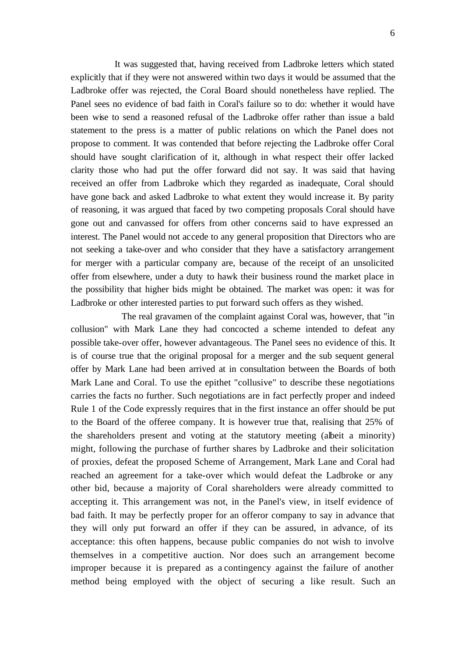It was suggested that, having received from Ladbroke letters which stated explicitly that if they were not answered within two days it would be assumed that the Ladbroke offer was rejected, the Coral Board should nonetheless have replied. The Panel sees no evidence of bad faith in Coral's failure so to do: whether it would have been wise to send a reasoned refusal of the Ladbroke offer rather than issue a bald statement to the press is a matter of public relations on which the Panel does not propose to comment. It was contended that before rejecting the Ladbroke offer Coral should have sought clarification of it, although in what respect their offer lacked clarity those who had put the offer forward did not say. It was said that having received an offer from Ladbroke which they regarded as inadequate, Coral should have gone back and asked Ladbroke to what extent they would increase it. By parity of reasoning, it was argued that faced by two competing proposals Coral should have gone out and canvassed for offers from other concerns said to have expressed an interest. The Panel would not accede to any general proposition that Directors who are not seeking a take-over and who consider that they have a satisfactory arrangement for merger with a particular company are, because of the receipt of an unsolicited offer from elsewhere, under a duty to hawk their business round the market place in the possibility that higher bids might be obtained. The market was open: it was for Ladbroke or other interested parties to put forward such offers as they wished.

The real gravamen of the complaint against Coral was, however, that "in collusion" with Mark Lane they had concocted a scheme intended to defeat any possible take-over offer, however advantageous. The Panel sees no evidence of this. It is of course true that the original proposal for a merger and the sub sequent general offer by Mark Lane had been arrived at in consultation between the Boards of both Mark Lane and Coral. To use the epithet "collusive" to describe these negotiations carries the facts no further. Such negotiations are in fact perfectly proper and indeed Rule 1 of the Code expressly requires that in the first instance an offer should be put to the Board of the offeree company. It is however true that, realising that 25% of the shareholders present and voting at the statutory meeting (albeit a minority) might, following the purchase of further shares by Ladbroke and their solicitation of proxies, defeat the proposed Scheme of Arrangement, Mark Lane and Coral had reached an agreement for a take-over which would defeat the Ladbroke or any other bid, because a majority of Coral shareholders were already committed to accepting it. This arrangement was not, in the Panel's view, in itself evidence of bad faith. It may be perfectly proper for an offeror company to say in advance that they will only put forward an offer if they can be assured, in advance, of its acceptance: this often happens, because public companies do not wish to involve themselves in a competitive auction. Nor does such an arrangement become improper because it is prepared as a contingency against the failure of another method being employed with the object of securing a like result. Such an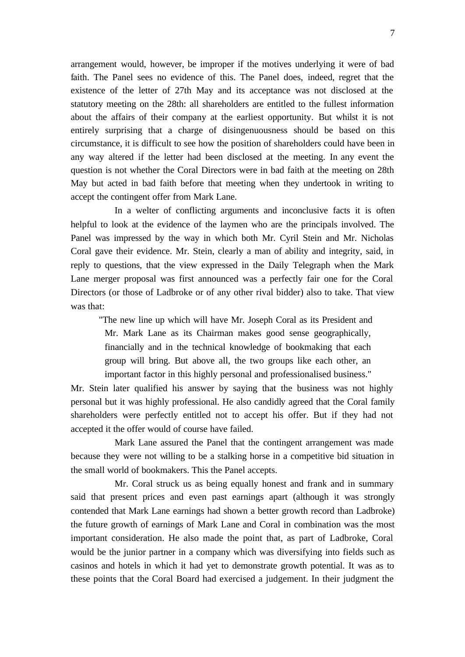arrangement would, however, be improper if the motives underlying it were of bad faith. The Panel sees no evidence of this. The Panel does, indeed, regret that the existence of the letter of 27th May and its acceptance was not disclosed at the statutory meeting on the 28th: all shareholders are entitled to the fullest information about the affairs of their company at the earliest opportunity. But whilst it is not entirely surprising that a charge of disingenuousness should be based on this circumstance, it is difficult to see how the position of shareholders could have been in any way altered if the letter had been disclosed at the meeting. In any event the question is not whether the Coral Directors were in bad faith at the meeting on 28th May but acted in bad faith before that meeting when they undertook in writing to accept the contingent offer from Mark Lane.

In a welter of conflicting arguments and inconclusive facts it is often helpful to look at the evidence of the laymen who are the principals involved. The Panel was impressed by the way in which both Mr. Cyril Stein and Mr. Nicholas Coral gave their evidence. Mr. Stein, clearly a man of ability and integrity, said, in reply to questions, that the view expressed in the Daily Telegraph when the Mark Lane merger proposal was first announced was a perfectly fair one for the Coral Directors (or those of Ladbroke or of any other rival bidder) also to take. That view was that:

"The new line up which will have Mr. Joseph Coral as its President and Mr. Mark Lane as its Chairman makes good sense geographically, financially and in the technical knowledge of bookmaking that each group will bring. But above all, the two groups like each other, an important factor in this highly personal and professionalised business."

Mr. Stein later qualified his answer by saying that the business was not highly personal but it was highly professional. He also candidly agreed that the Coral family shareholders were perfectly entitled not to accept his offer. But if they had not accepted it the offer would of course have failed.

Mark Lane assured the Panel that the contingent arrangement was made because they were not willing to be a stalking horse in a competitive bid situation in the small world of bookmakers. This the Panel accepts.

Mr. Coral struck us as being equally honest and frank and in summary said that present prices and even past earnings apart (although it was strongly contended that Mark Lane earnings had shown a better growth record than Ladbroke) the future growth of earnings of Mark Lane and Coral in combination was the most important consideration. He also made the point that, as part of Ladbroke, Coral would be the junior partner in a company which was diversifying into fields such as casinos and hotels in which it had yet to demonstrate growth potential. It was as to these points that the Coral Board had exercised a judgement. In their judgment the